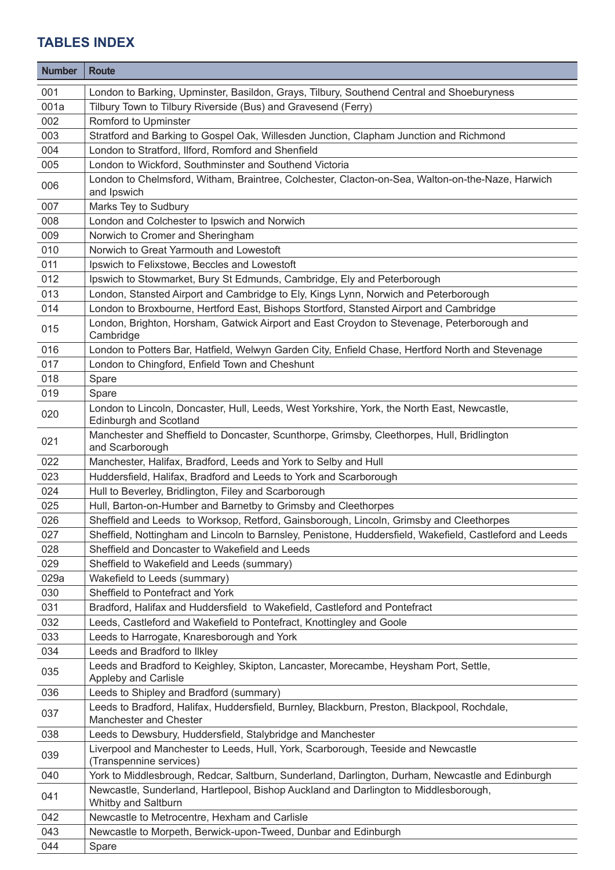| <b>Number</b> | <b>Route</b>                                                                                                                 |
|---------------|------------------------------------------------------------------------------------------------------------------------------|
| 001           | London to Barking, Upminster, Basildon, Grays, Tilbury, Southend Central and Shoeburyness                                    |
| 001a          | Tilbury Town to Tilbury Riverside (Bus) and Gravesend (Ferry)                                                                |
| 002           | Romford to Upminster                                                                                                         |
| 003           | Stratford and Barking to Gospel Oak, Willesden Junction, Clapham Junction and Richmond                                       |
| 004           | London to Stratford, Ilford, Romford and Shenfield                                                                           |
| 005           | London to Wickford, Southminster and Southend Victoria                                                                       |
| 006           | London to Chelmsford, Witham, Braintree, Colchester, Clacton-on-Sea, Walton-on-the-Naze, Harwich<br>and Ipswich              |
| 007           | Marks Tey to Sudbury                                                                                                         |
| 008           | London and Colchester to Ipswich and Norwich                                                                                 |
| 009           | Norwich to Cromer and Sheringham                                                                                             |
| 010           | Norwich to Great Yarmouth and Lowestoft                                                                                      |
| 011           | Ipswich to Felixstowe, Beccles and Lowestoft                                                                                 |
| 012           | Ipswich to Stowmarket, Bury St Edmunds, Cambridge, Ely and Peterborough                                                      |
| 013           | London, Stansted Airport and Cambridge to Ely, Kings Lynn, Norwich and Peterborough                                          |
| 014           | London to Broxbourne, Hertford East, Bishops Stortford, Stansted Airport and Cambridge                                       |
| 015           | London, Brighton, Horsham, Gatwick Airport and East Croydon to Stevenage, Peterborough and<br>Cambridge                      |
| 016           | London to Potters Bar, Hatfield, Welwyn Garden City, Enfield Chase, Hertford North and Stevenage                             |
| 017           | London to Chingford, Enfield Town and Cheshunt                                                                               |
| 018           | Spare                                                                                                                        |
| 019           | Spare                                                                                                                        |
| 020           | London to Lincoln, Doncaster, Hull, Leeds, West Yorkshire, York, the North East, Newcastle,<br><b>Edinburgh and Scotland</b> |
| 021           | Manchester and Sheffield to Doncaster, Scunthorpe, Grimsby, Cleethorpes, Hull, Bridlington<br>and Scarborough                |
| 022           | Manchester, Halifax, Bradford, Leeds and York to Selby and Hull                                                              |
| 023           | Huddersfield, Halifax, Bradford and Leeds to York and Scarborough                                                            |
| 024           | Hull to Beverley, Bridlington, Filey and Scarborough                                                                         |
| 025           | Hull, Barton-on-Humber and Barnetby to Grimsby and Cleethorpes                                                               |
| 026           | Sheffield and Leeds to Worksop, Retford, Gainsborough, Lincoln, Grimsby and Cleethorpes                                      |
| 027           | Sheffield, Nottingham and Lincoln to Barnsley, Penistone, Huddersfield, Wakefield, Castleford and Leeds                      |
| 028           | Sheffield and Doncaster to Wakefield and Leeds                                                                               |
| 029           | Sheffield to Wakefield and Leeds (summary)                                                                                   |
| 029a          | Wakefield to Leeds (summary)                                                                                                 |
| 030           | Sheffield to Pontefract and York                                                                                             |
| 031           | Bradford, Halifax and Huddersfield to Wakefield, Castleford and Pontefract                                                   |
| 032           | Leeds, Castleford and Wakefield to Pontefract, Knottingley and Goole                                                         |
| 033           | Leeds to Harrogate, Knaresborough and York                                                                                   |
| 034           | Leeds and Bradford to Ilkley                                                                                                 |
| 035           | Leeds and Bradford to Keighley, Skipton, Lancaster, Morecambe, Heysham Port, Settle,<br>Appleby and Carlisle                 |
| 036           | Leeds to Shipley and Bradford (summary)                                                                                      |
| 037           | Leeds to Bradford, Halifax, Huddersfield, Burnley, Blackburn, Preston, Blackpool, Rochdale,<br>Manchester and Chester        |
| 038           | Leeds to Dewsbury, Huddersfield, Stalybridge and Manchester                                                                  |
| 039           | Liverpool and Manchester to Leeds, Hull, York, Scarborough, Teeside and Newcastle<br>(Transpennine services)                 |
| 040           | York to Middlesbrough, Redcar, Saltburn, Sunderland, Darlington, Durham, Newcastle and Edinburgh                             |
| 041           | Newcastle, Sunderland, Hartlepool, Bishop Auckland and Darlington to Middlesborough,<br>Whitby and Saltburn                  |
| 042           | Newcastle to Metrocentre, Hexham and Carlisle                                                                                |
| 043           | Newcastle to Morpeth, Berwick-upon-Tweed, Dunbar and Edinburgh                                                               |
| 044           | Spare                                                                                                                        |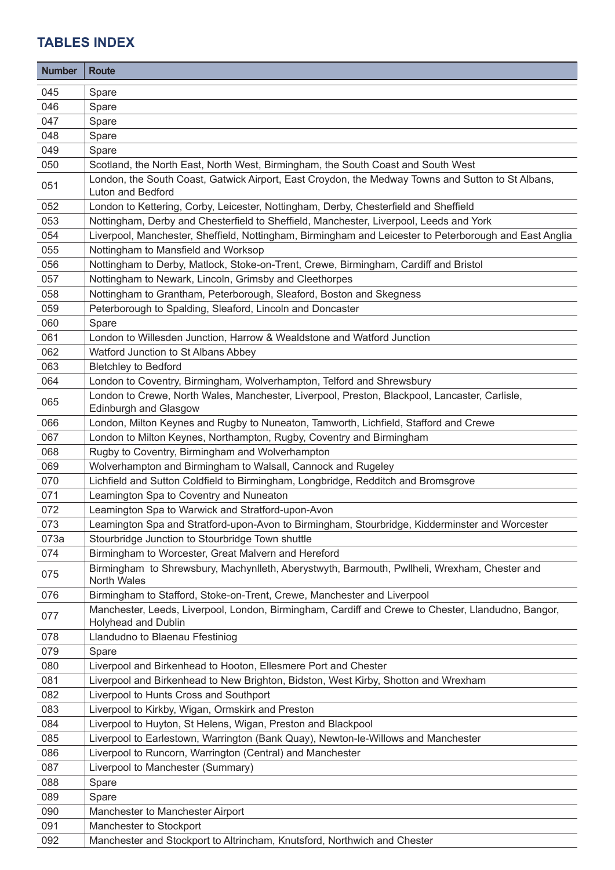| <b>Number</b> | <b>Route</b>                                                                                                                  |
|---------------|-------------------------------------------------------------------------------------------------------------------------------|
| 045           | Spare                                                                                                                         |
| 046           | Spare                                                                                                                         |
| 047           | Spare                                                                                                                         |
| 048           | Spare                                                                                                                         |
| 049           | Spare                                                                                                                         |
| 050           | Scotland, the North East, North West, Birmingham, the South Coast and South West                                              |
| 051           | London, the South Coast, Gatwick Airport, East Croydon, the Medway Towns and Sutton to St Albans,<br>Luton and Bedford        |
| 052           | London to Kettering, Corby, Leicester, Nottingham, Derby, Chesterfield and Sheffield                                          |
| 053           | Nottingham, Derby and Chesterfield to Sheffield, Manchester, Liverpool, Leeds and York                                        |
| 054           | Liverpool, Manchester, Sheffield, Nottingham, Birmingham and Leicester to Peterborough and East Anglia                        |
| 055           | Nottingham to Mansfield and Worksop                                                                                           |
| 056           | Nottingham to Derby, Matlock, Stoke-on-Trent, Crewe, Birmingham, Cardiff and Bristol                                          |
| 057           | Nottingham to Newark, Lincoln, Grimsby and Cleethorpes                                                                        |
| 058           | Nottingham to Grantham, Peterborough, Sleaford, Boston and Skegness                                                           |
| 059           | Peterborough to Spalding, Sleaford, Lincoln and Doncaster                                                                     |
| 060           | Spare                                                                                                                         |
| 061           | London to Willesden Junction, Harrow & Wealdstone and Watford Junction                                                        |
| 062           | Watford Junction to St Albans Abbey                                                                                           |
| 063           | <b>Bletchley to Bedford</b>                                                                                                   |
| 064           | London to Coventry, Birmingham, Wolverhampton, Telford and Shrewsbury                                                         |
| 065           | London to Crewe, North Wales, Manchester, Liverpool, Preston, Blackpool, Lancaster, Carlisle,<br><b>Edinburgh and Glasgow</b> |
| 066           | London, Milton Keynes and Rugby to Nuneaton, Tamworth, Lichfield, Stafford and Crewe                                          |
| 067           | London to Milton Keynes, Northampton, Rugby, Coventry and Birmingham                                                          |
| 068           | Rugby to Coventry, Birmingham and Wolverhampton                                                                               |
| 069           | Wolverhampton and Birmingham to Walsall, Cannock and Rugeley                                                                  |
| 070           | Lichfield and Sutton Coldfield to Birmingham, Longbridge, Redditch and Bromsgrove                                             |
| 071           | Leamington Spa to Coventry and Nuneaton                                                                                       |
| 072           | Leamington Spa to Warwick and Stratford-upon-Avon                                                                             |
| 073           | Leamington Spa and Stratford-upon-Avon to Birmingham, Stourbridge, Kidderminster and Worcester                                |
| 073a          | Stourbridge Junction to Stourbridge Town shuttle                                                                              |
| 074           | Birmingham to Worcester, Great Malvern and Hereford                                                                           |
| 075           | Birmingham to Shrewsbury, Machynlleth, Aberystwyth, Barmouth, Pwllheli, Wrexham, Chester and<br><b>North Wales</b>            |
| 076           | Birmingham to Stafford, Stoke-on-Trent, Crewe, Manchester and Liverpool                                                       |
| 077           | Manchester, Leeds, Liverpool, London, Birmingham, Cardiff and Crewe to Chester, Llandudno, Bangor,<br>Holyhead and Dublin     |
| 078           | Llandudno to Blaenau Ffestiniog                                                                                               |
| 079           | Spare                                                                                                                         |
| 080           | Liverpool and Birkenhead to Hooton, Ellesmere Port and Chester                                                                |
| 081           | Liverpool and Birkenhead to New Brighton, Bidston, West Kirby, Shotton and Wrexham                                            |
| 082           | Liverpool to Hunts Cross and Southport                                                                                        |
| 083           | Liverpool to Kirkby, Wigan, Ormskirk and Preston                                                                              |
| 084           | Liverpool to Huyton, St Helens, Wigan, Preston and Blackpool                                                                  |
| 085           | Liverpool to Earlestown, Warrington (Bank Quay), Newton-le-Willows and Manchester                                             |
| 086           | Liverpool to Runcorn, Warrington (Central) and Manchester                                                                     |
| 087           | Liverpool to Manchester (Summary)                                                                                             |
| 088           | Spare                                                                                                                         |
| 089           | Spare                                                                                                                         |
| 090           | Manchester to Manchester Airport                                                                                              |
| 091           | Manchester to Stockport                                                                                                       |
| 092           | Manchester and Stockport to Altrincham, Knutsford, Northwich and Chester                                                      |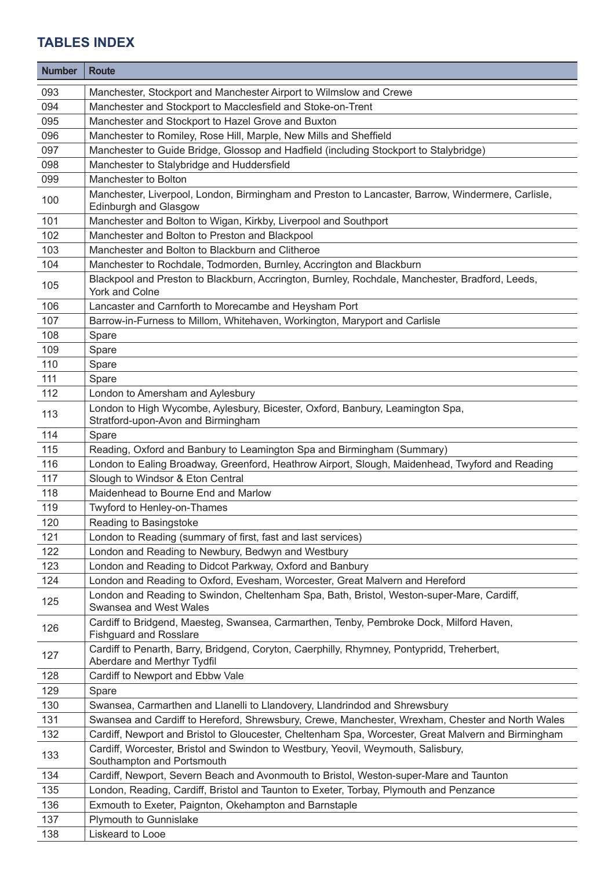| <b>Number</b> | <b>Route</b>                                                                                                                      |
|---------------|-----------------------------------------------------------------------------------------------------------------------------------|
| 093           | Manchester, Stockport and Manchester Airport to Wilmslow and Crewe                                                                |
| 094           | Manchester and Stockport to Macclesfield and Stoke-on-Trent                                                                       |
| 095           | Manchester and Stockport to Hazel Grove and Buxton                                                                                |
| 096           | Manchester to Romiley, Rose Hill, Marple, New Mills and Sheffield                                                                 |
| 097           | Manchester to Guide Bridge, Glossop and Hadfield (including Stockport to Stalybridge)                                             |
| 098           | Manchester to Stalybridge and Huddersfield                                                                                        |
| 099           | Manchester to Bolton                                                                                                              |
| 100           | Manchester, Liverpool, London, Birmingham and Preston to Lancaster, Barrow, Windermere, Carlisle,<br><b>Edinburgh and Glasgow</b> |
| 101           | Manchester and Bolton to Wigan, Kirkby, Liverpool and Southport                                                                   |
| 102           | Manchester and Bolton to Preston and Blackpool                                                                                    |
| 103           | Manchester and Bolton to Blackburn and Clitheroe                                                                                  |
| 104           | Manchester to Rochdale, Todmorden, Burnley, Accrington and Blackburn                                                              |
| 105           | Blackpool and Preston to Blackburn, Accrington, Burnley, Rochdale, Manchester, Bradford, Leeds,<br>York and Colne                 |
| 106           | Lancaster and Carnforth to Morecambe and Heysham Port                                                                             |
| 107           | Barrow-in-Furness to Millom, Whitehaven, Workington, Maryport and Carlisle                                                        |
| 108           | Spare                                                                                                                             |
| 109           | Spare                                                                                                                             |
| 110           | Spare                                                                                                                             |
| 111           | Spare                                                                                                                             |
| 112           | London to Amersham and Aylesbury                                                                                                  |
| 113           | London to High Wycombe, Aylesbury, Bicester, Oxford, Banbury, Leamington Spa,<br>Stratford-upon-Avon and Birmingham               |
| 114           | Spare                                                                                                                             |
| 115           | Reading, Oxford and Banbury to Leamington Spa and Birmingham (Summary)                                                            |
| 116           | London to Ealing Broadway, Greenford, Heathrow Airport, Slough, Maidenhead, Twyford and Reading                                   |
| 117           | Slough to Windsor & Eton Central                                                                                                  |
| 118           | Maidenhead to Bourne End and Marlow                                                                                               |
| 119           | Twyford to Henley-on-Thames                                                                                                       |
| 120           | Reading to Basingstoke                                                                                                            |
| 121           | London to Reading (summary of first, fast and last services)                                                                      |
| 122           | London and Reading to Newbury, Bedwyn and Westbury                                                                                |
| 123           | London and Reading to Didcot Parkway, Oxford and Banbury                                                                          |
| 124           | London and Reading to Oxford, Evesham, Worcester, Great Malvern and Hereford                                                      |
| 125           | London and Reading to Swindon, Cheltenham Spa, Bath, Bristol, Weston-super-Mare, Cardiff,<br>Swansea and West Wales               |
| 126           | Cardiff to Bridgend, Maesteg, Swansea, Carmarthen, Tenby, Pembroke Dock, Milford Haven,<br><b>Fishguard and Rosslare</b>          |
| 127           | Cardiff to Penarth, Barry, Bridgend, Coryton, Caerphilly, Rhymney, Pontypridd, Treherbert,<br>Aberdare and Merthyr Tydfil         |
| 128           | Cardiff to Newport and Ebbw Vale                                                                                                  |
| 129           | Spare                                                                                                                             |
| 130           | Swansea, Carmarthen and Llanelli to Llandovery, Llandrindod and Shrewsbury                                                        |
| 131           | Swansea and Cardiff to Hereford, Shrewsbury, Crewe, Manchester, Wrexham, Chester and North Wales                                  |
| 132           | Cardiff, Newport and Bristol to Gloucester, Cheltenham Spa, Worcester, Great Malvern and Birmingham                               |
| 133           | Cardiff, Worcester, Bristol and Swindon to Westbury, Yeovil, Weymouth, Salisbury,<br>Southampton and Portsmouth                   |
| 134           | Cardiff, Newport, Severn Beach and Avonmouth to Bristol, Weston-super-Mare and Taunton                                            |
| 135           | London, Reading, Cardiff, Bristol and Taunton to Exeter, Torbay, Plymouth and Penzance                                            |
| 136           | Exmouth to Exeter, Paignton, Okehampton and Barnstaple                                                                            |
| 137           | Plymouth to Gunnislake                                                                                                            |
| 138           | Liskeard to Looe                                                                                                                  |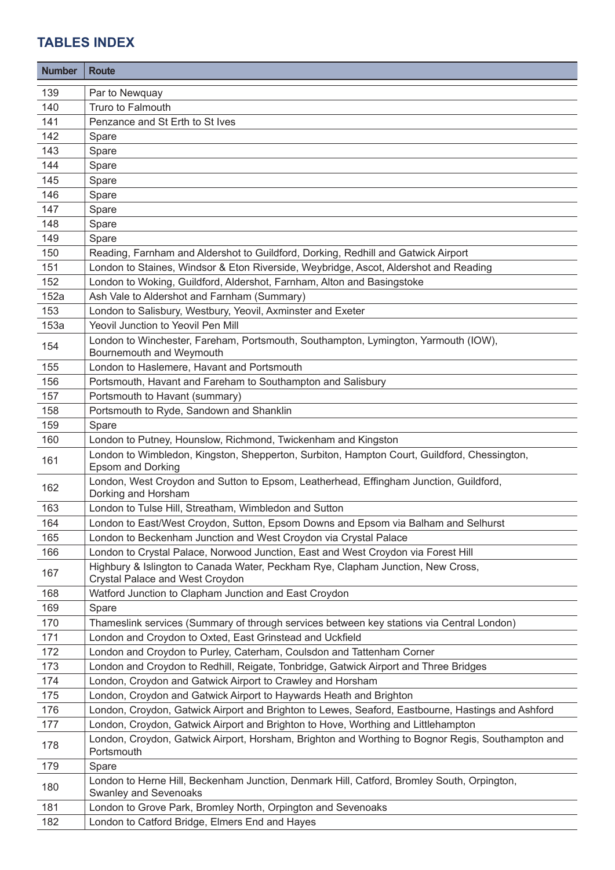| <b>Number</b> | <b>Route</b>                                                                                                        |
|---------------|---------------------------------------------------------------------------------------------------------------------|
| 139           | Par to Newquay                                                                                                      |
| 140           | Truro to Falmouth                                                                                                   |
| 141           | Penzance and St Erth to St Ives                                                                                     |
| 142           | Spare                                                                                                               |
| 143           | Spare                                                                                                               |
| 144           | Spare                                                                                                               |
| 145           | Spare                                                                                                               |
| 146           | Spare                                                                                                               |
| 147           | Spare                                                                                                               |
| 148           | Spare                                                                                                               |
| 149           | Spare                                                                                                               |
| 150           | Reading, Farnham and Aldershot to Guildford, Dorking, Redhill and Gatwick Airport                                   |
| 151           | London to Staines, Windsor & Eton Riverside, Weybridge, Ascot, Aldershot and Reading                                |
| 152           | London to Woking, Guildford, Aldershot, Farnham, Alton and Basingstoke                                              |
| 152a          | Ash Vale to Aldershot and Farnham (Summary)                                                                         |
| 153           | London to Salisbury, Westbury, Yeovil, Axminster and Exeter                                                         |
| 153a          | Yeovil Junction to Yeovil Pen Mill                                                                                  |
| 154           | London to Winchester, Fareham, Portsmouth, Southampton, Lymington, Yarmouth (IOW),<br>Bournemouth and Weymouth      |
| 155           | London to Haslemere, Havant and Portsmouth                                                                          |
| 156           | Portsmouth, Havant and Fareham to Southampton and Salisbury                                                         |
| 157           | Portsmouth to Havant (summary)                                                                                      |
| 158           | Portsmouth to Ryde, Sandown and Shanklin                                                                            |
| 159           | Spare                                                                                                               |
| 160           | London to Putney, Hounslow, Richmond, Twickenham and Kingston                                                       |
| 161           | London to Wimbledon, Kingston, Shepperton, Surbiton, Hampton Court, Guildford, Chessington,<br>Epsom and Dorking    |
| 162           | London, West Croydon and Sutton to Epsom, Leatherhead, Effingham Junction, Guildford,<br>Dorking and Horsham        |
| 163           | London to Tulse Hill, Streatham, Wimbledon and Sutton                                                               |
| 164           | London to East/West Croydon, Sutton, Epsom Downs and Epsom via Balham and Selhurst                                  |
| 165           | London to Beckenham Junction and West Croydon via Crystal Palace                                                    |
| 166           | London to Crystal Palace, Norwood Junction, East and West Croydon via Forest Hill                                   |
| 167           | Highbury & Islington to Canada Water, Peckham Rye, Clapham Junction, New Cross,<br>Crystal Palace and West Croydon  |
| 168           | Watford Junction to Clapham Junction and East Croydon                                                               |
| 169           | Spare                                                                                                               |
| 170           | Thameslink services (Summary of through services between key stations via Central London)                           |
| 171           | London and Croydon to Oxted, East Grinstead and Uckfield                                                            |
| 172           | London and Croydon to Purley, Caterham, Coulsdon and Tattenham Corner                                               |
| 173           | London and Croydon to Redhill, Reigate, Tonbridge, Gatwick Airport and Three Bridges                                |
| 174           | London, Croydon and Gatwick Airport to Crawley and Horsham                                                          |
| 175           | London, Croydon and Gatwick Airport to Haywards Heath and Brighton                                                  |
| 176           | London, Croydon, Gatwick Airport and Brighton to Lewes, Seaford, Eastbourne, Hastings and Ashford                   |
| 177           | London, Croydon, Gatwick Airport and Brighton to Hove, Worthing and Littlehampton                                   |
| 178           | London, Croydon, Gatwick Airport, Horsham, Brighton and Worthing to Bognor Regis, Southampton and<br>Portsmouth     |
| 179           | Spare                                                                                                               |
| 180           | London to Herne Hill, Beckenham Junction, Denmark Hill, Catford, Bromley South, Orpington,<br>Swanley and Sevenoaks |
| 181           | London to Grove Park, Bromley North, Orpington and Sevenoaks                                                        |
| 182           | London to Catford Bridge, Elmers End and Hayes                                                                      |